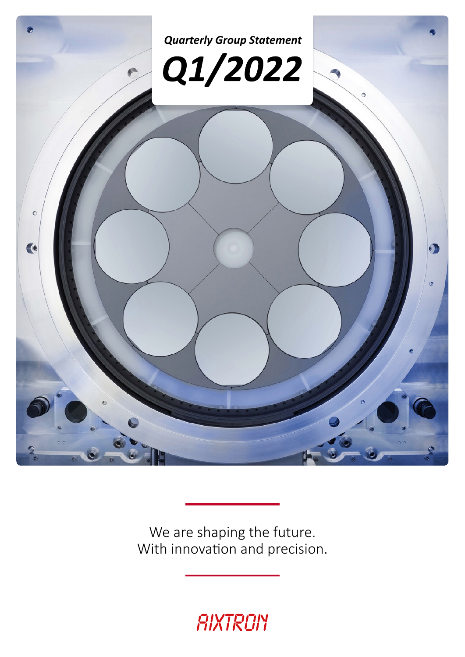

We are shaping the future. With innovation and precision.

# RIXTRON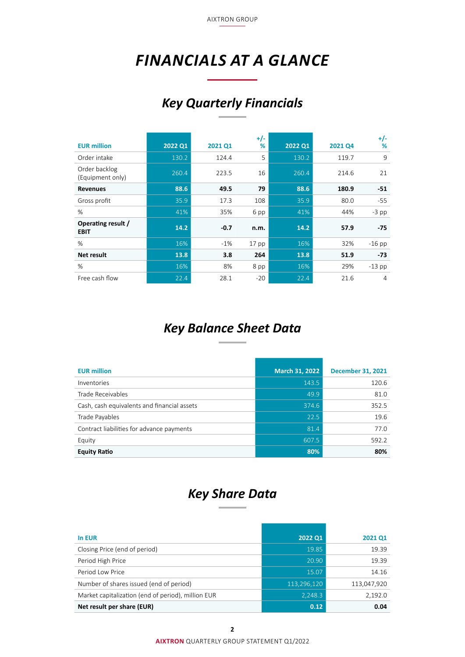AIXTRON GROUP

## <span id="page-1-0"></span>*FINANCIALS AT A GLANCE*

## *Key Quarterly Financials*

| <b>EUR million</b>                | 2022 Q1 | 2021 Q1 | $+/-$<br>%       | 2022 Q1 | 2021 Q4 | $+/-$<br>% |
|-----------------------------------|---------|---------|------------------|---------|---------|------------|
| Order intake                      | 130.2   | 124.4   | 5                | 130.2   | 119.7   | 9          |
| Order backlog<br>(Equipment only) | 260.4   | 223.5   | 16               | 260.4   | 214.6   | 21         |
| <b>Revenues</b>                   | 88.6    | 49.5    | 79               | 88.6    | 180.9   | $-51$      |
| Gross profit                      | 35.9    | 17.3    | 108              | 35.9    | 80.0    | -55        |
| %                                 | 41%     | 35%     | 6 pp             | 41%     | 44%     | $-3$ pp    |
| Operating result /<br><b>EBIT</b> | 14.2    | $-0.7$  | n.m.             | 14.2    | 57.9    | $-75$      |
| $\%$                              | 16%     | $-1\%$  | 17 <sub>pp</sub> | 16%     | 32%     | $-16$ pp   |
| Net result                        | 13.8    | 3.8     | 264              | 13.8    | 51.9    | $-73$      |
| %                                 | 16%     | 8%      | 8 pp             | 16%     | 29%     | $-13$ pp   |
| Free cash flow                    | 22.4    | 28.1    | $-20$            | 22.4    | 21.6    | 4          |

## *Key Balance Sheet Data*

| <b>EUR million</b>                          | March 31, 2022 | <b>December 31, 2021</b> |
|---------------------------------------------|----------------|--------------------------|
| Inventories                                 | 143.5          | 120.6                    |
| Trade Receivables                           | 49.9           | 81.0                     |
| Cash, cash equivalents and financial assets | 374.6          | 352.5                    |
| Trade Payables                              | 22.5           | 19.6                     |
| Contract liabilities for advance payments   | 81.4           | 77.0                     |
| Equity                                      | 607.5          | 592.2                    |
| <b>Equity Ratio</b>                         | 80%            | 80%                      |

## *Key Share Data*

| In EUR                                             | 2022 Q1     | 2021 Q1     |
|----------------------------------------------------|-------------|-------------|
| Closing Price (end of period)                      | 19.85       | 19.39       |
| Period High Price                                  | 20.90       | 19.39       |
| Period Low Price                                   | 15.07       | 14.16       |
| Number of shares issued (end of period)            | 113,296,120 | 113,047,920 |
| Market capitalization (end of period), million EUR | 2,248.3     | 2,192.0     |
| Net result per share (EUR)                         | 0.12        | 0.04        |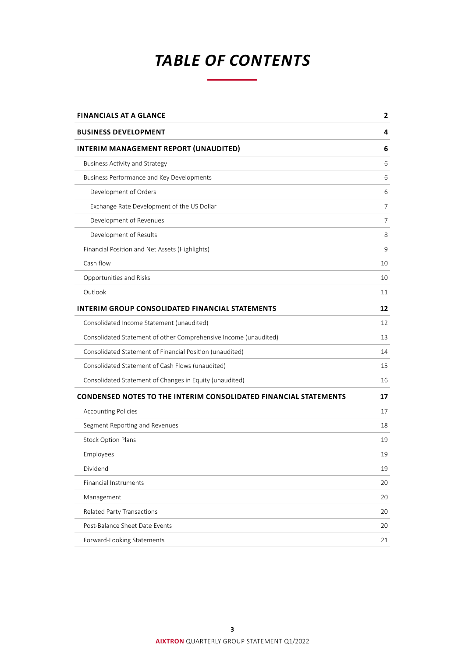## *TABLE OF CONTENTS*

| <b>FINANCIALS AT A GLANCE</b>                                           | 2  |
|-------------------------------------------------------------------------|----|
| <b>BUSINESS DEVELOPMENT</b>                                             | 4  |
| INTERIM MANAGEMENT REPORT (UNAUDITED)                                   | 6  |
| <b>Business Activity and Strategy</b>                                   | 6  |
| Business Performance and Key Developments                               | 6  |
| Development of Orders                                                   | 6  |
| Exchange Rate Development of the US Dollar                              | 7  |
| Development of Revenues                                                 | 7  |
| Development of Results                                                  | 8  |
| Financial Position and Net Assets (Highlights)                          | 9  |
| Cash flow                                                               | 10 |
| Opportunities and Risks                                                 | 10 |
| Outlook                                                                 | 11 |
| <b>INTERIM GROUP CONSOLIDATED FINANCIAL STATEMENTS</b>                  | 12 |
| Consolidated Income Statement (unaudited)                               | 12 |
| Consolidated Statement of other Comprehensive Income (unaudited)        | 13 |
| Consolidated Statement of Financial Position (unaudited)                | 14 |
| Consolidated Statement of Cash Flows (unaudited)                        | 15 |
| Consolidated Statement of Changes in Equity (unaudited)                 | 16 |
| <b>CONDENSED NOTES TO THE INTERIM CONSOLIDATED FINANCIAL STATEMENTS</b> | 17 |
| <b>Accounting Policies</b>                                              | 17 |
| Segment Reporting and Revenues                                          | 18 |
| <b>Stock Option Plans</b>                                               | 19 |
| Employees                                                               | 19 |
| Dividend                                                                | 19 |
| <b>Financial Instruments</b>                                            | 20 |
| Management                                                              | 20 |
| Related Party Transactions                                              | 20 |
| Post-Balance Sheet Date Events                                          | 20 |
| Forward-Looking Statements                                              | 21 |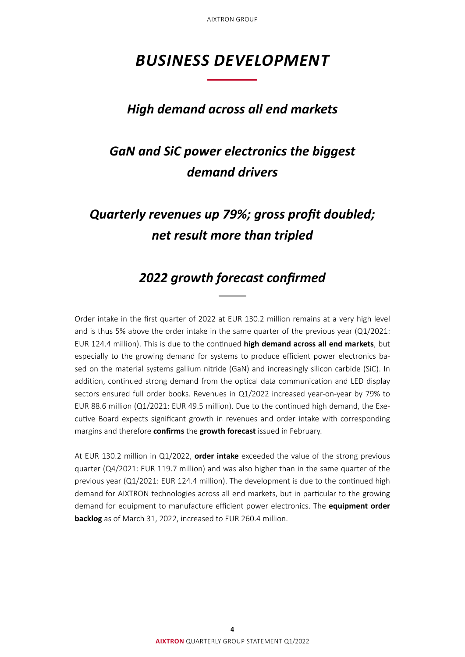AIXTRON GROUP

## <span id="page-3-0"></span>*BUSINESS DEVELOPMENT*

### *High demand across all end markets*

## *GaN and SiC power electronics the biggest demand drivers*

## *Quarterly revenues up 79%; gross profit doubled; net result more than tripled*

### *2022 growth forecast confirmed*

Order intake in the first quarter of 2022 at EUR 130.2 million remains at a very high level and is thus 5% above the order intake in the same quarter of the previous year (Q1/2021: EUR 124.4 million). This is due to the continued **high demand across all end markets**, but especially to the growing demand for systems to produce efficient power electronics based on the material systems gallium nitride (GaN) and increasingly silicon carbide (SiC). In addition, continued strong demand from the optical data communication and LED display sectors ensured full order books. Revenues in Q1/2022 increased year-on-year by 79% to EUR 88.6 million (Q1/2021: EUR 49.5 million). Due to the continued high demand, the Executive Board expects significant growth in revenues and order intake with corresponding margins and therefore **confirms** the **growth forecast** issued in February.

At EUR 130.2 million in Q1/2022, **order intake** exceeded the value of the strong previous quarter (Q4/2021: EUR 119.7 million) and was also higher than in the same quarter of the previous year (Q1/2021: EUR 124.4 million). The development is due to the continued high demand for AIXTRON technologies across all end markets, but in particular to the growing demand for equipment to manufacture efficient power electronics. The **equipment order backlog** as of March 31, 2022, increased to EUR 260.4 million.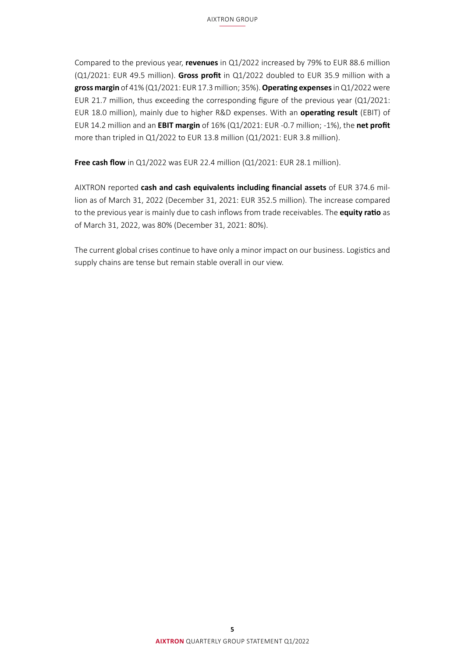Compared to the previous year, **revenues** in Q1/2022 increased by 79% to EUR 88.6 million (Q1/2021: EUR 49.5 million). **Gross profit** in Q1/2022 doubled to EUR 35.9 million with a **gross margin** of 41% (Q1/2021: EUR 17.3million; 35%). **Operating expenses** in Q1/2022 were EUR 21.7 million, thus exceeding the corresponding figure of the previous year (Q1/2021: EUR 18.0 million), mainly due to higher R&D expenses. With an **operating result** (EBIT) of EUR 14.2 million and an **EBIT margin** of 16% (Q1/2021: EUR -0.7 million; -1%), the **net profit** more than tripled in Q1/2022 to EUR 13.8 million (Q1/2021: EUR 3.8 million).

**Free cash flow** in Q1/2022 was EUR 22.4 million (Q1/2021: EUR 28.1 million).

AIXTRON reported **cash and cash equivalents including financial assets** of EUR 374.6 million as of March 31, 2022 (December 31, 2021: EUR 352.5 million). The increase compared to the previous year is mainly due to cash inflows from trade receivables. The **equity ratio** as of March 31, 2022, was 80% (December 31, 2021: 80%).

The current global crises continue to have only a minor impact on our business. Logistics and supply chains are tense but remain stable overall in our view.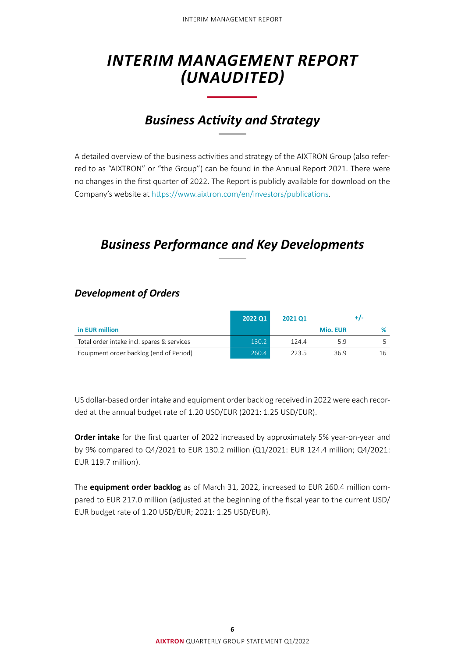## <span id="page-5-0"></span>*INTERIM MANAGEMENT REPORT (UNAUDITED)*

## *Business Activity and Strategy*

A detailed overview of the business activities and strategy of the AIXTRON Group (also referred to as "AIXTRON" or "the Group") can be found in the Annual Report 2021. There were no changes in the first quarter of 2022. The Report is publicly available for download on the Company's website at<https://www.aixtron.com/en/investors/publications>.

## *Business Performance and Key Developments*

|                                            | <b>2022 Q1</b> | 2021 01 |                 |     |
|--------------------------------------------|----------------|---------|-----------------|-----|
| in EUR million                             |                |         | <b>Mio. EUR</b> |     |
| Total order intake incl. spares & services | 130.2          | 124.4   | 59              |     |
| Equipment order backlog (end of Period)    | 260.4          | 2235    | 36.9            | 16. |

### *Development of Orders*

US dollar-based order intake and equipment order backlog received in 2022 were each recorded at the annual budget rate of 1.20 USD/EUR (2021: 1.25 USD/EUR).

**Order intake** for the first quarter of 2022 increased by approximately 5% year-on-year and by 9% compared to Q4/2021 to EUR 130.2 million (Q1/2021: EUR 124.4 million; Q4/2021: EUR 119.7 million).

The **equipment order backlog** as of March 31, 2022, increased to EUR 260.4 million compared to EUR 217.0 million (adjusted at the beginning of the fiscal year to the current USD/ EUR budget rate of 1.20 USD/EUR; 2021: 1.25 USD/EUR).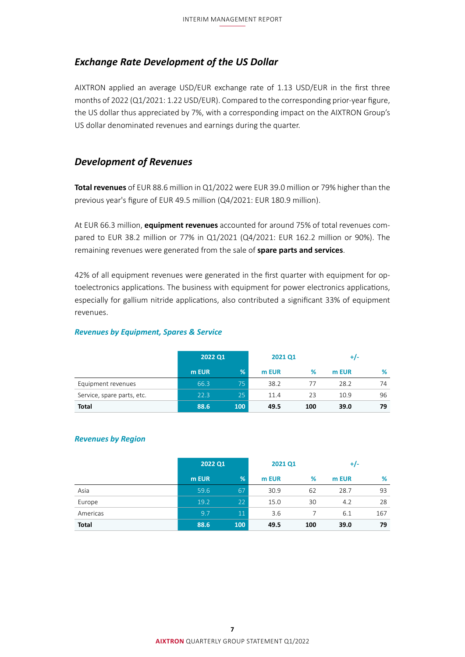#### <span id="page-6-0"></span>*Exchange Rate Development of the US Dollar*

AIXTRON applied an average USD/EUR exchange rate of 1.13 USD/EUR in the first three months of 2022 (Q1/2021: 1.22 USD/EUR). Compared to the corresponding prior-year figure, the US dollar thus appreciated by 7%, with a corresponding impact on the AIXTRON Group's US dollar denominated revenues and earnings during the quarter.

#### *Development of Revenues*

**Total revenues** of EUR 88.6 million in Q1/2022 were EUR 39.0 million or 79% higher than the previous year's figure of EUR 49.5 million (Q4/2021: EUR 180.9 million).

At EUR 66.3 million, **equipment revenues** accounted for around 75% of total revenues compared to EUR 38.2 million or 77% in Q1/2021 (Q4/2021: EUR 162.2 million or 90%). The remaining revenues were generated from the sale of **spare parts and services**.

42% of all equipment revenues were generated in the first quarter with equipment for optoelectronics applications. The business with equipment for power electronics applications, especially for gallium nitride applications, also contributed a significant 33% of equipment revenues.

#### *Revenues by Equipment, Spares & Service*

|                            | 2022 Q1 |     | 2021 Q1 |     | +/-   |    |
|----------------------------|---------|-----|---------|-----|-------|----|
|                            | m EUR   | %   | m EUR   | %   | m EUR | %  |
| Equipment revenues         | 66.3    | 75  | 38.2    | 77  | 28.2  | 74 |
| Service, spare parts, etc. | 22.3    | 25  | 11.4    | 23  | 10.9  | 96 |
| <b>Total</b>               | 88.6    | 100 | 49.5    | 100 | 39.0  | 79 |

#### *Revenues by Region*

|              | 2022 Q1 |                 | 2021 Q1 |     | $+/-$ |     |
|--------------|---------|-----------------|---------|-----|-------|-----|
|              | m EUR   | %               | m EUR   | %   | m EUR | %   |
| Asia         | 59.6    | 67              | 30.9    | 62  | 28.7  | 93  |
| Europe       | 19.2    | 22 <sup>°</sup> | 15.0    | 30  | 4.2   | 28  |
| Americas     | 9.7     | 11              | 3.6     |     | 6.1   | 167 |
| <b>Total</b> | 88.6    | 100             | 49.5    | 100 | 39.0  | 79  |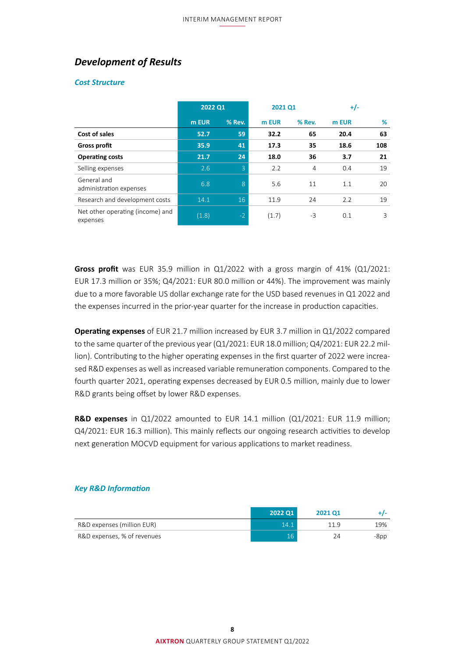### <span id="page-7-0"></span>*Development of Results*

#### *Cost Structure*

|                                              | 2022 Q1 |                | 2021 Q1 |        | $+/-$ |     |
|----------------------------------------------|---------|----------------|---------|--------|-------|-----|
|                                              | m EUR   | % Rev.         | m EUR   | % Rev. | m EUR | %   |
| Cost of sales                                | 52.7    | 59             | 32.2    | 65     | 20.4  | 63  |
| <b>Gross profit</b>                          | 35.9    | 41             | 17.3    | 35     | 18.6  | 108 |
| <b>Operating costs</b>                       | 21.7    | 24             | 18.0    | 36     | 3.7   | 21  |
| Selling expenses                             | 2.6     | $\overline{3}$ | 2.2     | 4      | 0.4   | 19  |
| General and<br>administration expenses       | 6.8     | 8              | 5.6     | 11     | 1.1   | 20  |
| Research and development costs               | 14.1    | 16             | 11.9    | 24     | 2.2   | 19  |
| Net other operating (income) and<br>expenses | (1.8)   | $-2$           | (1.7)   | $-3$   | 0.1   | 3   |

**Gross profit** was EUR 35.9 million in Q1/2022 with a gross margin of 41% (Q1/2021: EUR 17.3 million or 35%; Q4/2021: EUR 80.0 million or 44%). The improvement was mainly due to a more favorable US dollar exchange rate for the USD based revenues in Q1 2022 and the expenses incurred in the prior-year quarter for the increase in production capacities.

**Operating expenses** of EUR 21.7 million increased by EUR 3.7 million in Q1/2022 compared to the same quarter of the previous year (Q1/2021: EUR 18.0 million; Q4/2021: EUR 22.2 million). Contributing to the higher operating expenses in the first quarter of 2022 were increased R&D expenses as well as increased variable remuneration components. Compared to the fourth quarter 2021, operating expenses decreased by EUR 0.5 million, mainly due to lower R&D grants being offset by lower R&D expenses.

**R&D expenses** in Q1/2022 amounted to EUR 14.1 million (Q1/2021: EUR 11.9 million; Q4/2021: EUR 16.3 million). This mainly reflects our ongoing research activities to develop next generation MOCVD equipment for various applications to market readiness.

#### *Key R&D Information*

|                             | 2022 01 | 2021 01 |      |
|-----------------------------|---------|---------|------|
| R&D expenses (million EUR)  | 14.1    | 11 9    | 19%  |
| R&D expenses, % of revenues |         | 24      | -8pp |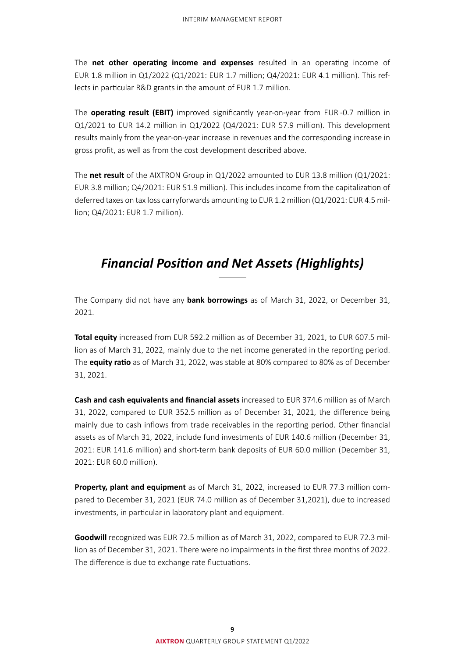<span id="page-8-0"></span>The **net other operating income and expenses** resulted in an operating income of EUR 1.8 million in Q1/2022 (Q1/2021: EUR 1.7 million; Q4/2021: EUR 4.1 million). This reflects in particular R&D grants in the amount of EUR 1.7 million.

The **operating result (EBIT)** improved significantly year-on-year from EUR -0.7 million in Q1/2021 to EUR 14.2 million in Q1/2022 (Q4/2021: EUR 57.9 million). This development results mainly from the year-on-year increase in revenues and the corresponding increase in gross profit, as well as from the cost development described above.

The **net result** of the AIXTRON Group in Q1/2022 amounted to EUR 13.8 million (Q1/2021: EUR 3.8 million; Q4/2021: EUR 51.9 million). This includes income from the capitalization of deferred taxes on tax loss carryforwards amounting to EUR 1.2 million (Q1/2021: EUR 4.5 million; Q4/2021: EUR 1.7 million).

## *Financial Position and Net Assets (Highlights)*

The Company did not have any **bank borrowings** as of March 31, 2022, or December 31, 2021.

**Total equity** increased from EUR 592.2 million as of December 31, 2021, to EUR 607.5 million as of March 31, 2022, mainly due to the net income generated in the reporting period. The **equity ratio** as of March 31, 2022, was stable at 80% compared to 80% as of December 31, 2021.

**Cash and cash equivalents and financial assets** increased to EUR 374.6 million as of March 31, 2022, compared to EUR 352.5 million as of December 31, 2021, the difference being mainly due to cash inflows from trade receivables in the reporting period. Other financial assets as of March 31, 2022, include fund investments of EUR 140.6 million (December 31, 2021: EUR 141.6 million) and short-term bank deposits of EUR 60.0 million (December 31, 2021: EUR 60.0 million).

**Property, plant and equipment** as of March 31, 2022, increased to EUR 77.3 million compared to December 31, 2021 (EUR 74.0 million as of December 31,2021), due to increased investments, in particular in laboratory plant and equipment.

**Goodwill** recognized was EUR 72.5 million as of March 31, 2022, compared to EUR 72.3 million as of December 31, 2021. There were no impairments in the first three months of 2022. The difference is due to exchange rate fluctuations.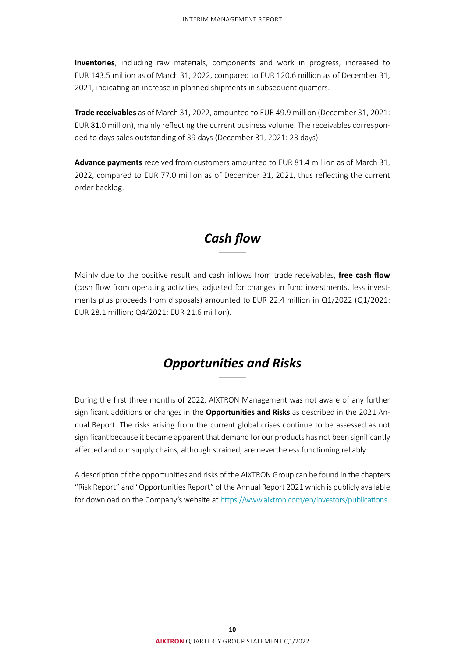<span id="page-9-0"></span>**Inventories**, including raw materials, components and work in progress, increased to EUR 143.5 million as of March 31, 2022, compared to EUR 120.6 million as of December 31, 2021, indicating an increase in planned shipments in subsequent quarters.

**Trade receivables** as of March 31, 2022, amounted to EUR 49.9 million (December 31, 2021: EUR 81.0 million), mainly reflecting the current business volume. The receivables corresponded to days sales outstanding of 39 days (December 31, 2021: 23 days).

**Advance payments** received from customers amounted to EUR 81.4 million as of March 31, 2022, compared to EUR 77.0 million as of December 31, 2021, thus reflecting the current order backlog.

### *Cash flow*

Mainly due to the positive result and cash inflows from trade receivables, **free cash flow**  (cash flow from operating activities, adjusted for changes in fund investments, less investments plus proceeds from disposals) amounted to EUR 22.4 million in Q1/2022 (Q1/2021: EUR 28.1 million; Q4/2021: EUR 21.6 million).

### *Opportunities and Risks*

During the first three months of 2022, AIXTRON Management was not aware of any further significant additions or changes in the **Opportunities and Risks** as described in the 2021 Annual Report. The risks arising from the current global crises continue to be assessed as not significant because it became apparent that demand for our products has not been significantly affected and our supply chains, although strained, are nevertheless functioning reliably.

A description of the opportunities and risks of the AIXTRON Group can be found in the chapters "Risk Report" and "Opportunities Report" of the Annual Report 2021 which is publicly available for download on the Company's website at<https://www.aixtron.com/en/investors/publications>.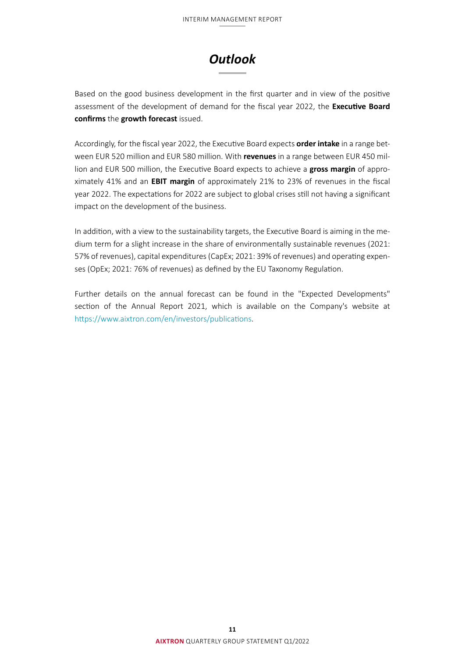

<span id="page-10-0"></span>Based on the good business development in the first quarter and in view of the positive assessment of the development of demand for the fiscal year 2022, the **Executive Board confirms** the **growth forecast** issued.

Accordingly, for the fiscal year 2022, the Executive Board expects **order intake** in a range between EUR 520 million and EUR 580 million. With **revenues** in a range between EUR 450 million and EUR 500 million, the Executive Board expects to achieve a **gross margin** of approximately 41% and an **EBIT margin** of approximately 21% to 23% of revenues in the fiscal year 2022. The expectations for 2022 are subject to global crises still not having a significant impact on the development of the business.

In addition, with a view to the sustainability targets, the Executive Board is aiming in the medium term for a slight increase in the share of environmentally sustainable revenues (2021: 57% of revenues), capital expenditures (CapEx; 2021: 39% of revenues) and operating expenses (OpEx; 2021: 76% of revenues) as defined by the EU Taxonomy Regulation.

Further details on the annual forecast can be found in the "Expected Developments" section of the Annual Report 2021, which is available on the Company's website at <https://www.aixtron.com/en/investors/publications>.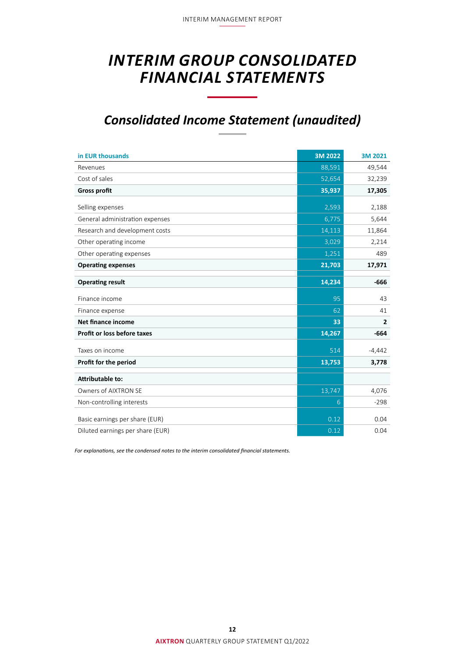## <span id="page-11-0"></span>*INTERIM GROUP CONSOLIDATED FINANCIAL STATEMENTS*

## *Consolidated Income Statement (unaudited)*

| in EUR thousands                   | 3M 2022 | 3M 2021        |
|------------------------------------|---------|----------------|
| Revenues                           | 88,591  | 49,544         |
| Cost of sales                      | 52,654  | 32,239         |
| <b>Gross profit</b>                | 35,937  | 17,305         |
| Selling expenses                   | 2,593   | 2,188          |
| General administration expenses    | 6,775   | 5,644          |
| Research and development costs     | 14,113  | 11,864         |
| Other operating income             | 3,029   | 2,214          |
| Other operating expenses           | 1,251   | 489            |
| <b>Operating expenses</b>          | 21,703  | 17,971         |
|                                    |         |                |
| <b>Operating result</b>            | 14,234  | $-666$         |
| Finance income                     | 95      | 43             |
| Finance expense                    | 62      | 41             |
| <b>Net finance income</b>          | 33      | $\overline{2}$ |
| <b>Profit or loss before taxes</b> | 14,267  | $-664$         |
| Taxes on income                    | 514     | $-4,442$       |
| Profit for the period              | 13,753  | 3,778          |
| <b>Attributable to:</b>            |         |                |
|                                    |         |                |
| Owners of AIXTRON SE               | 13,747  | 4,076          |
| Non-controlling interests          | 6       | $-298$         |
| Basic earnings per share (EUR)     | 0.12    | 0.04           |
| Diluted earnings per share (EUR)   | 0.12    | 0.04           |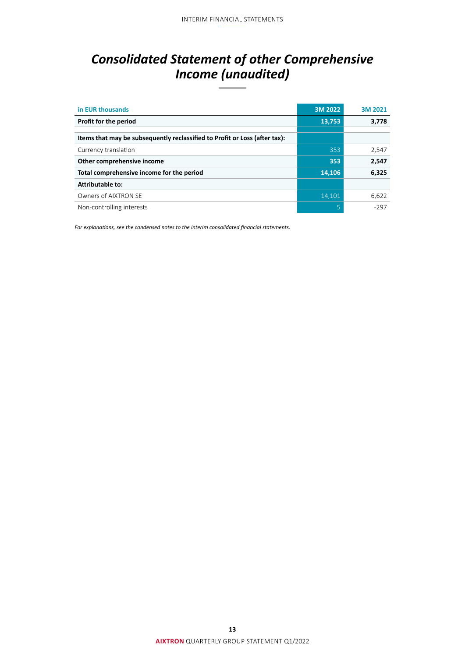## <span id="page-12-0"></span>*Consolidated Statement of other Comprehensive Income (unaudited)*

| in EUR thousands                                                           | 3M 2022 | 3M 2021 |
|----------------------------------------------------------------------------|---------|---------|
| Profit for the period                                                      | 13,753  | 3,778   |
|                                                                            |         |         |
| Items that may be subsequently reclassified to Profit or Loss (after tax): |         |         |
| Currency translation                                                       | 353     | 2,547   |
| Other comprehensive income                                                 | 353     | 2,547   |
| Total comprehensive income for the period                                  | 14,106  | 6,325   |
| Attributable to:                                                           |         |         |
| Owners of AIXTRON SE                                                       | 14,101  | 6,622   |
| Non-controlling interests                                                  | 5       | -297    |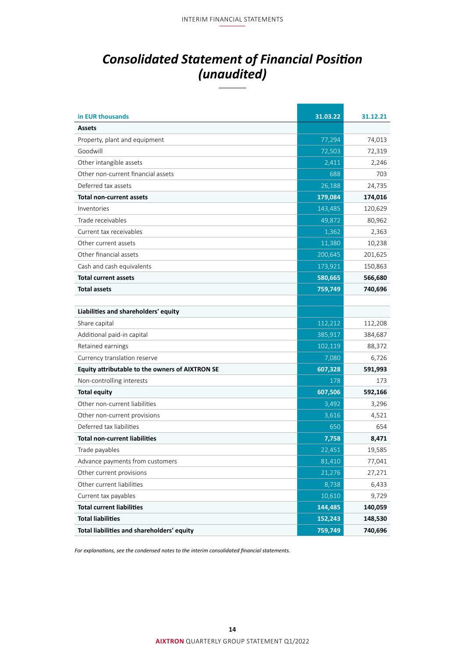## <span id="page-13-0"></span>*Consolidated Statement of Financial Position (unaudited)*

| in EUR thousands                                | 31.03.22 | 31.12.21 |
|-------------------------------------------------|----------|----------|
| <b>Assets</b>                                   |          |          |
| Property, plant and equipment                   | 77,294   | 74,013   |
| Goodwill                                        | 72,503   | 72,319   |
| Other intangible assets                         | 2,411    | 2,246    |
| Other non-current financial assets              | 688      | 703      |
| Deferred tax assets                             | 26,188   | 24,735   |
| <b>Total non-current assets</b>                 | 179,084  | 174,016  |
| Inventories                                     | 143,485  | 120,629  |
| Trade receivables                               | 49,872   | 80,962   |
| Current tax receivables                         | 1,362    | 2,363    |
| Other current assets                            | 11,380   | 10,238   |
| Other financial assets                          | 200,645  | 201,625  |
| Cash and cash equivalents                       | 173,921  | 150,863  |
| <b>Total current assets</b>                     | 580,665  | 566,680  |
| <b>Total assets</b>                             | 759,749  | 740,696  |
|                                                 |          |          |
| Liabilities and shareholders' equity            |          |          |
| Share capital                                   | 112,212  | 112,208  |
| Additional paid-in capital                      | 385,917  | 384,687  |
| Retained earnings                               | 102,119  | 88,372   |
| Currency translation reserve                    | 7,080    | 6,726    |
| Equity attributable to the owners of AIXTRON SE | 607,328  | 591,993  |
| Non-controlling interests                       | 178      | 173      |
| <b>Total equity</b>                             | 607,506  | 592,166  |
| Other non-current liabilities                   | 3,492    | 3,296    |
| Other non-current provisions                    | 3,616    | 4,521    |
| Deferred tax liabilities                        | 650      | 654      |
| <b>Total non-current liabilities</b>            | 7,758    | 8,471    |
| Trade payables                                  | 22,451   | 19,585   |
| Advance payments from customers                 | 81,410   | 77,041   |
| Other current provisions                        | 21,276   | 27,271   |
| Other current liabilities                       | 8,738    | 6,433    |
| Current tax payables                            | 10,610   | 9,729    |
| <b>Total current liabilities</b>                | 144,485  | 140,059  |
| <b>Total liabilities</b>                        | 152,243  | 148,530  |
| Total liabilities and shareholders' equity      | 759,749  | 740,696  |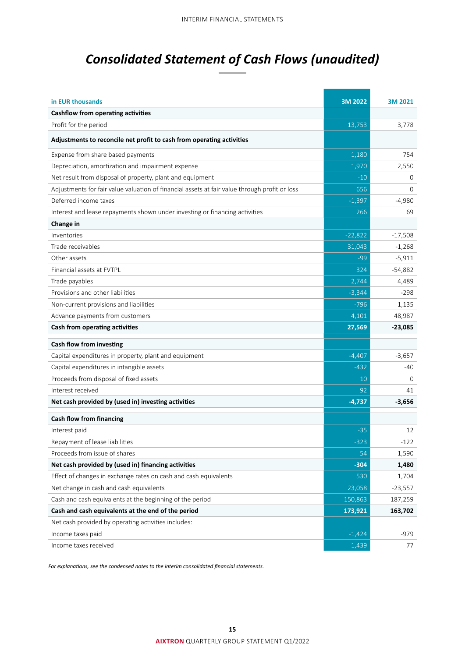## <span id="page-14-0"></span>*Consolidated Statement of Cash Flows (unaudited)*

| in EUR thousands                                                                              | 3M 2022   | 3M 2021   |
|-----------------------------------------------------------------------------------------------|-----------|-----------|
| Cashflow from operating activities                                                            |           |           |
| Profit for the period                                                                         | 13,753    | 3,778     |
| Adjustments to reconcile net profit to cash from operating activities                         |           |           |
| Expense from share based payments                                                             | 1,180     | 754       |
| Depreciation, amortization and impairment expense                                             | 1,970     | 2,550     |
| Net result from disposal of property, plant and equipment                                     | $-10$     | 0         |
| Adjustments for fair value valuation of financial assets at fair value through profit or loss | 656       | $\Omega$  |
| Deferred income taxes                                                                         | $-1,397$  | $-4,980$  |
| Interest and lease repayments shown under investing or financing activities                   | 266       | 69        |
| Change in                                                                                     |           |           |
| Inventories                                                                                   | $-22,822$ | $-17,508$ |
| Trade receivables                                                                             | 31,043    | $-1,268$  |
| Other assets                                                                                  | $-99$     | $-5,911$  |
| Financial assets at FVTPL                                                                     | 324       | $-54,882$ |
| Trade payables                                                                                | 2,744     | 4,489     |
| Provisions and other liabilities                                                              | $-3,344$  | -298      |
| Non-current provisions and liabilities                                                        | $-796$    | 1,135     |
| Advance payments from customers                                                               | 4,101     | 48,987    |
| Cash from operating activities                                                                | 27,569    | $-23,085$ |
| Cash flow from investing                                                                      |           |           |
| Capital expenditures in property, plant and equipment                                         | $-4,407$  | $-3,657$  |
| Capital expenditures in intangible assets                                                     | $-432$    | -40       |
| Proceeds from disposal of fixed assets                                                        | 10        | $\Omega$  |
| Interest received                                                                             | 92        | 41        |
| Net cash provided by (used in) investing activities                                           | $-4,737$  | $-3,656$  |
| <b>Cash flow from financing</b>                                                               |           |           |
| Interest paid                                                                                 | $-35$     | 12        |
| Repayment of lease liabilities                                                                | $-323$    | $-122$    |
| Proceeds from issue of shares                                                                 | 54        | 1,590     |
| Net cash provided by (used in) financing activities                                           | $-304$    | 1,480     |
| Effect of changes in exchange rates on cash and cash equivalents                              | 530       | 1,704     |
| Net change in cash and cash equivalents                                                       | 23,058    | $-23,557$ |
| Cash and cash equivalents at the beginning of the period                                      | 150,863   | 187,259   |
| Cash and cash equivalents at the end of the period                                            | 173,921   | 163,702   |
| Net cash provided by operating activities includes:                                           |           |           |
| Income taxes paid                                                                             | $-1,424$  | -979      |
| Income taxes received                                                                         | 1,439     | 77        |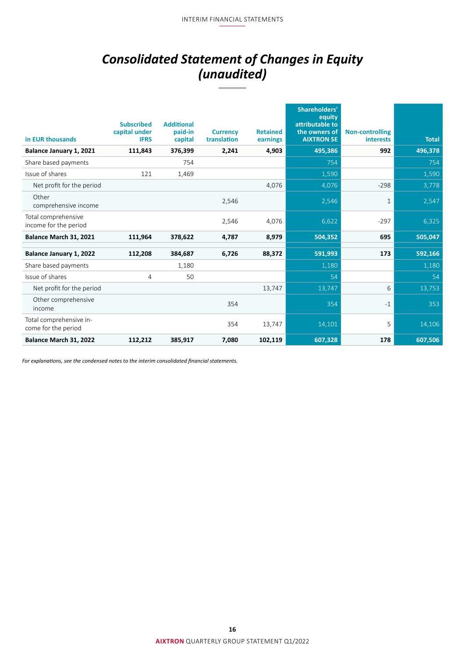## *Consolidated Statement of Changes in Equity (unaudited)*

<span id="page-15-0"></span>

| in EUR thousands                               | <b>Subscribed</b><br>capital under<br><b>IFRS</b> | <b>Additional</b><br>paid-in<br>capital | <b>Currency</b><br>translation | <b>Retained</b><br>earnings | <b>Shareholders'</b><br>equity<br>attributable to<br>the owners of<br><b>AIXTRON SE</b> | <b>Non-controlling</b><br><b>interests</b> | <b>Total</b> |
|------------------------------------------------|---------------------------------------------------|-----------------------------------------|--------------------------------|-----------------------------|-----------------------------------------------------------------------------------------|--------------------------------------------|--------------|
| Balance January 1, 2021                        | 111,843                                           | 376,399                                 | 2,241                          | 4,903                       | 495,386                                                                                 | 992                                        | 496,378      |
| Share based payments                           |                                                   | 754                                     |                                |                             | 754                                                                                     |                                            | 754          |
| Issue of shares                                | 121                                               | 1,469                                   |                                |                             | 1,590                                                                                   |                                            | 1,590        |
| Net profit for the period                      |                                                   |                                         |                                | 4,076                       | 4,076                                                                                   | $-298$                                     | 3,778        |
| Other<br>comprehensive income                  |                                                   |                                         | 2,546                          |                             | 2,546                                                                                   | 1                                          | 2,547        |
| Total comprehensive<br>income for the period   |                                                   |                                         | 2,546                          | 4,076                       | 6,622                                                                                   | $-297$                                     | 6,325        |
| Balance March 31, 2021                         | 111,964                                           | 378,622                                 | 4,787                          | 8,979                       | 504,352                                                                                 | 695                                        | 505,047      |
| Balance January 1, 2022                        | 112,208                                           | 384,687                                 | 6,726                          | 88,372                      | 591,993                                                                                 | 173                                        | 592,166      |
| Share based payments                           |                                                   | 1,180                                   |                                |                             | 1,180                                                                                   |                                            | 1,180        |
| Issue of shares                                | 4                                                 | 50                                      |                                |                             | 54                                                                                      |                                            | 54           |
| Net profit for the period                      |                                                   |                                         |                                | 13,747                      | 13,747                                                                                  | 6                                          | 13,753       |
| Other comprehensive<br>income                  |                                                   |                                         | 354                            |                             | 354                                                                                     | $-1$                                       | 353          |
| Total comprehensive in-<br>come for the period |                                                   |                                         | 354                            | 13,747                      | 14,101                                                                                  | 5                                          | 14,106       |
| Balance March 31, 2022                         | 112,212                                           | 385,917                                 | 7,080                          | 102,119                     | 607,328                                                                                 | 178                                        | 607,506      |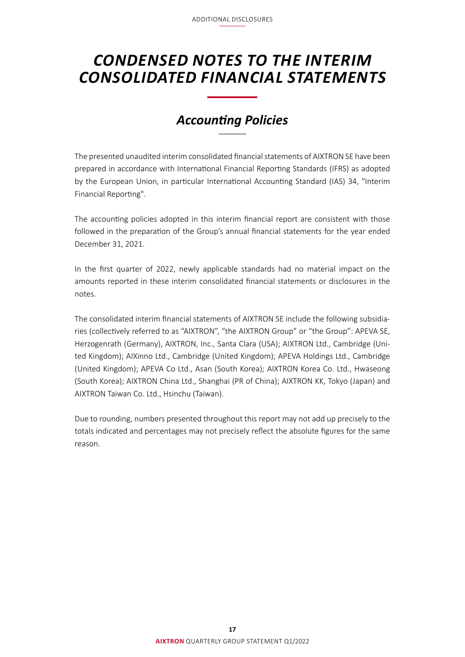## <span id="page-16-0"></span>*CONDENSED NOTES TO THE INTERIM CONSOLIDATED FINANCIAL STATEMENTS*

## *Accounting Policies*

The presented unaudited interim consolidated financial statements of AIXTRON SE have been prepared in accordance with International Financial Reporting Standards (IFRS) as adopted by the European Union, in particular International Accounting Standard (IAS) 34, "Interim Financial Reporting".

The accounting policies adopted in this interim financial report are consistent with those followed in the preparation of the Group's annual financial statements for the year ended December 31, 2021.

In the first quarter of 2022, newly applicable standards had no material impact on the amounts reported in these interim consolidated financial statements or disclosures in the notes.

The consolidated interim financial statements of AIXTRON SE include the following subsidiaries (collectively referred to as "AIXTRON", "the AIXTRON Group" or "the Group": APEVA SE, Herzogenrath (Germany), AIXTRON, Inc., Santa Clara (USA); AIXTRON Ltd., Cambridge (United Kingdom); AIXinno Ltd., Cambridge (United Kingdom); APEVA Holdings Ltd., Cambridge (United Kingdom); APEVA Co Ltd., Asan (South Korea); AIXTRON Korea Co. Ltd., Hwaseong (South Korea); AIXTRON China Ltd., Shanghai (PR of China); AIXTRON KK, Tokyo (Japan) and AIXTRON Taiwan Co. Ltd., Hsinchu (Taiwan).

Due to rounding, numbers presented throughout this report may not add up precisely to the totals indicated and percentages may not precisely reflect the absolute figures for the same reason.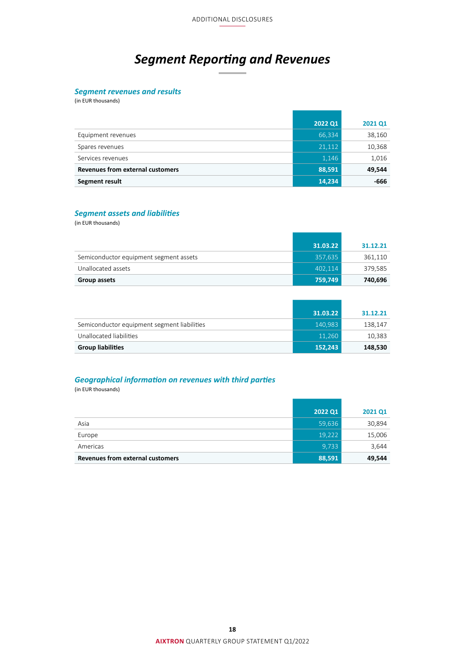## *Segment Reporting and Revenues*

#### <span id="page-17-0"></span>*Segment revenues and results*

(in EUR thousands)

|                                         | 2022 Q1 | 2021 Q1 |
|-----------------------------------------|---------|---------|
| Equipment revenues                      | 66,334  | 38,160  |
| Spares revenues                         | 21,112  | 10,368  |
| Services revenues                       | 1,146   | 1,016   |
| <b>Revenues from external customers</b> | 88,591  | 49,544  |
| Segment result                          | 14,234  | -666    |

#### *Segment assets and liabilities*

(in EUR thousands)

|                                        | 31.03.22 | 31.12.21 |
|----------------------------------------|----------|----------|
| Semiconductor equipment segment assets | 357,635  | 361,110  |
| Unallocated assets                     | 402.114  | 379,585  |
| Group assets                           | 759,749  | 740,696  |

|                                             | 31.03.22 | 31.12.21 |
|---------------------------------------------|----------|----------|
| Semiconductor equipment segment liabilities | 140,983  | 138.147  |
| Unallocated liabilities                     | 11,260   | 10,383   |
| <b>Group liabilities</b>                    | 152,243  | 148,530  |

#### *Geographical information on revenues with third parties*

(in EUR thousands)

|                                  | 2022 Q1 | 2021 Q1 |
|----------------------------------|---------|---------|
| Asia                             | 59,636  | 30,894  |
| Europe                           | 19,222  | 15,006  |
| Americas                         | 9.733   | 3,644   |
| Revenues from external customers | 88,591  | 49,544  |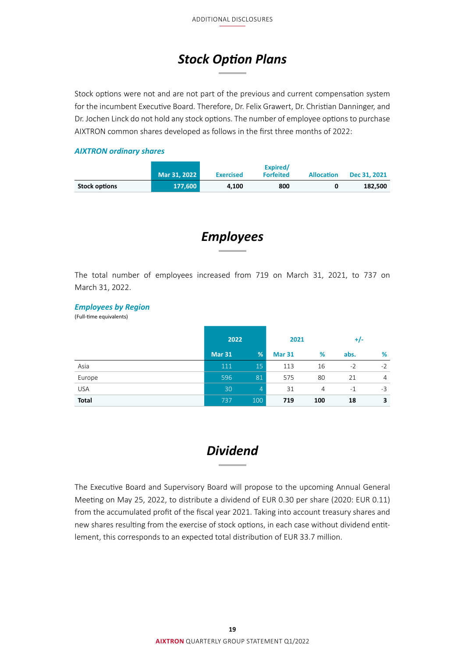## *Stock Option Plans*

<span id="page-18-0"></span>Stock options were not and are not part of the previous and current compensation system for the incumbent Executive Board. Therefore, Dr. Felix Grawert, Dr. Christian Danninger, and Dr. Jochen Linck do not hold any stock options. The number of employee options to purchase AIXTRON common shares developed as follows in the first three months of 2022:

#### *AIXTRON ordinary shares*

|                      | Mar 31, 2022 | <b>Exercised</b> | Expired/<br><b>Forfeited</b> | <b>Allocation</b> | Dec 31, 2021 |
|----------------------|--------------|------------------|------------------------------|-------------------|--------------|
| <b>Stock options</b> | 177.600      | 4.100            | 800                          |                   | 182.500      |

*Employees*

The total number of employees increased from 719 on March 31, 2021, to 737 on March 31, 2022.

#### *Employees by Region*

(Full-time equivalents)

|              | 2022          |                | 2021          |                | $+/-$ |                |
|--------------|---------------|----------------|---------------|----------------|-------|----------------|
|              | <b>Mar 31</b> | %              | <b>Mar 31</b> | %              | abs.  | %              |
| Asia         | 111           | 15             | 113           | 16             | $-2$  | $-2$           |
| Europe       | 596           | 81             | 575           | 80             | 21    | $\overline{4}$ |
| <b>USA</b>   | 30            | $\overline{4}$ | 31            | $\overline{4}$ | $-1$  | -3             |
| <b>Total</b> | 737           | 100            | 719           | 100            | 18    | 3              |

### *Dividend*

The Executive Board and Supervisory Board will propose to the upcoming Annual General Meeting on May 25, 2022, to distribute a dividend of EUR 0.30 per share (2020: EUR 0.11) from the accumulated profit of the fiscal year 2021. Taking into account treasury shares and new shares resulting from the exercise of stock options, in each case without dividend entitlement, this corresponds to an expected total distribution of EUR 33.7 million.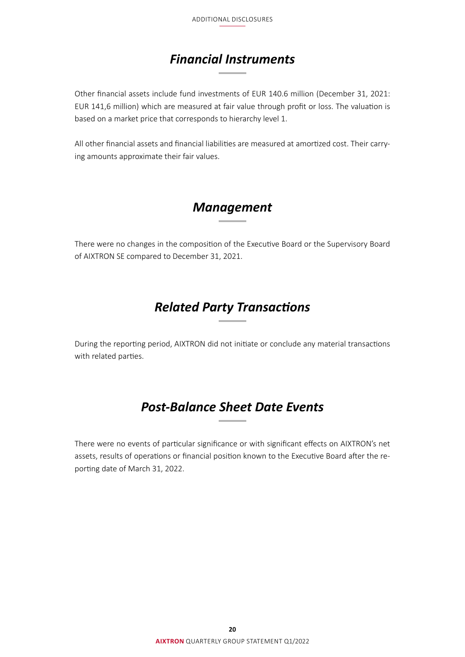## *Financial Instruments*

<span id="page-19-0"></span>Other financial assets include fund investments of EUR 140.6 million (December 31, 2021: EUR 141,6 million) which are measured at fair value through profit or loss. The valuation is based on a market price that corresponds to hierarchy level 1.

All other financial assets and financial liabilities are measured at amortized cost. Their carrying amounts approximate their fair values.

### *Management*

There were no changes in the composition of the Executive Board or the Supervisory Board of AIXTRON SE compared to December 31, 2021.

### *Related Party Transactions*

During the reporting period, AIXTRON did not initiate or conclude any material transactions with related parties.

## *Post-Balance Sheet Date Events*

There were no events of particular significance or with significant effects on AIXTRON's net assets, results of operations or financial position known to the Executive Board after the reporting date of March 31, 2022.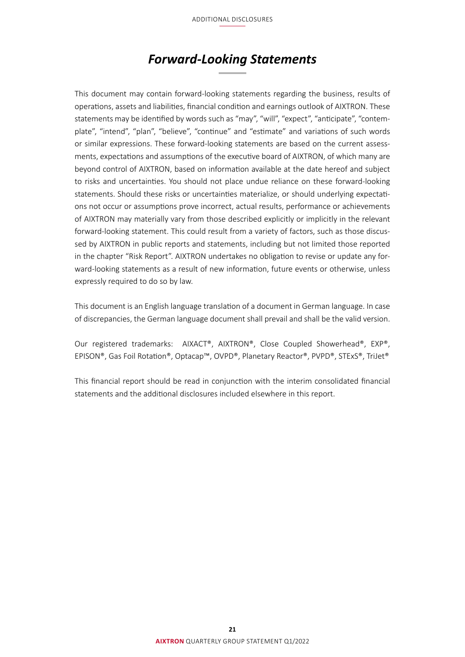### *Forward-Looking Statements*

<span id="page-20-0"></span>This document may contain forward-looking statements regarding the business, results of operations, assets and liabilities, financial condition and earnings outlook of AIXTRON. These statements may be identified by words such as "may", "will", "expect", "anticipate", "contemplate", "intend", "plan", "believe", "continue" and "estimate" and variations of such words or similar expressions. These forward-looking statements are based on the current assessments, expectations and assumptions of the executive board of AIXTRON, of which many are beyond control of AIXTRON, based on information available at the date hereof and subject to risks and uncertainties. You should not place undue reliance on these forward-looking statements. Should these risks or uncertainties materialize, or should underlying expectations not occur or assumptions prove incorrect, actual results, performance or achievements of AIXTRON may materially vary from those described explicitly or implicitly in the relevant forward-looking statement. This could result from a variety of factors, such as those discussed by AIXTRON in public reports and statements, including but not limited those reported in the chapter "Risk Report". AIXTRON undertakes no obligation to revise or update any forward-looking statements as a result of new information, future events or otherwise, unless expressly required to do so by law.

This document is an English language translation of a document in German language. In case of discrepancies, the German language document shall prevail and shall be the valid version.

Our registered trademarks: AIXACT®, AIXTRON®, Close Coupled Showerhead®, EXP®, EPISON®, Gas Foil Rotation®, Optacap™, OVPD®, Planetary Reactor®, PVPD®, STExS®, TriJet®

This financial report should be read in conjunction with the interim consolidated financial statements and the additional disclosures included elsewhere in this report.